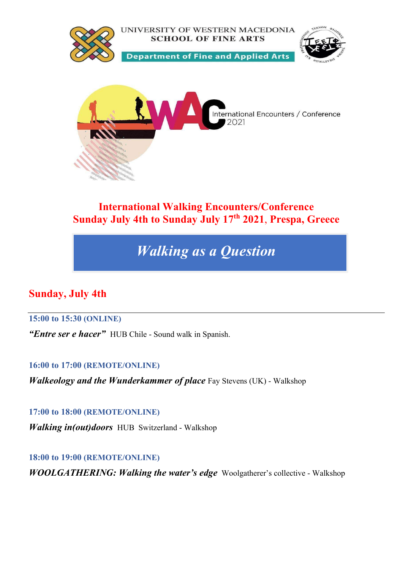

# International Walking Encounters/Conference Sunday July 4th to Sunday July 17<sup>th</sup> 2021, Prespa, Greece

# Walking as a Question

# Sunday, July 4th

# 15:00 to 15:30 (ONLINE)

"Entre ser e hacer" HUB Chile - Sound walk in Spanish.

16:00 to 17:00 (REMOTE/ONLINE)

Walkeology and the Wunderkammer of place Fay Stevens (UK) - Walkshop

17:00 to 18:00 (REMOTE/ONLINE)

Walking in(out)doors HUB Switzerland - Walkshop

18:00 to 19:00 (REMOTE/ONLINE)

WOOLGATHERING: Walking the water's edge Woolgatherer's collective - Walkshop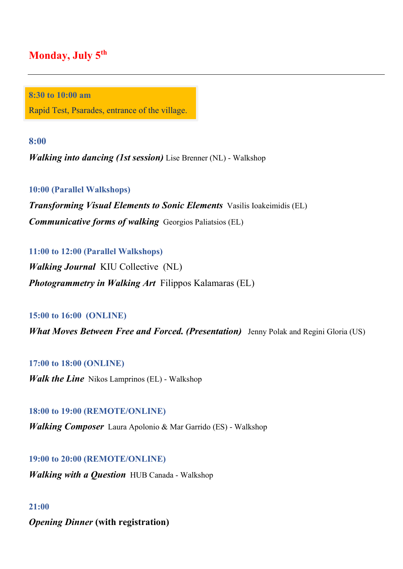# Monday, July 5<sup>th</sup>

8:30 to 10:00 am

Rapid Test, Psarades, entrance of the village.

8:00

**Walking into dancing (1st session)** Lise Brenner (NL) - Walkshop

10:00 (Parallel Walkshops)

**Transforming Visual Elements to Sonic Elements** Vasilis Ioakeimidis (EL) Communicative forms of walking Georgios Paliatsios (EL)

11:00 to 12:00 (Parallel Walkshops)

Walking Journal KIU Collective (NL) **Photogrammetry in Walking Art Filippos Kalamaras (EL)** 

### 15:00 to 16:00 (ONLINE)

**What Moves Between Free and Forced. (Presentation)** Jenny Polak and Regini Gloria (US)

### 17:00 to 18:00 (ONLINE)

*Walk the Line* Nikos Lamprinos (EL) - Walkshop

### 18:00 to 19:00 (REMOTE/ONLINE)

**Walking Composer** Laura Apolonio & Mar Garrido (ES) - Walkshop

# 19:00 to 20:00 (REMOTE/ONLINE)

**Walking with a Question HUB Canada - Walkshop** 

#### 21:00

Opening Dinner (with registration)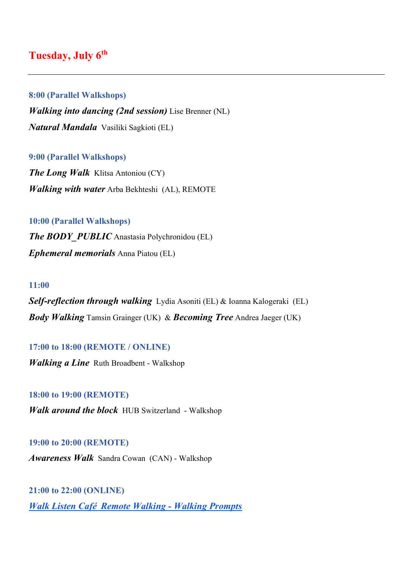# Tuesday, July 6<sup>th</sup>

### 8:00 (Parallel Walkshops)

Walking into dancing (2nd session) Lise Brenner (NL) Natural Mandala Vasiliki Sagkioti (EL)

#### 9:00 (Parallel Walkshops)

The Long Walk Klitsa Antoniou (CY) Walking with water Arba Bekhteshi (AL), REMOTE

# 10:00 (Parallel Walkshops) **The BODY PUBLIC** Anastasia Polychronidou (EL) Ephemeral memorials Anna Piatou (EL)

#### 11:00

Self-reflection through walking Lydia Asoniti (EL) & Ioanna Kalogeraki (EL) **Body Walking** Tamsin Grainger (UK) & **Becoming Tree** Andrea Jaeger (UK)

#### 17:00 to 18:00 (REMOTE / ONLINE)

*Walking a Line* Ruth Broadbent - Walkshop

#### 18:00 to 19:00 (REMOTE)

Walk around the block HUB Switzerland - Walkshop

#### 19:00 to 20:00 (REMOTE)

Awareness Walk Sandra Cowan (CAN) - Walkshop

21:00 to 22:00 (ONLINE) Walk Listen Café Remote Walking - Walking Prompts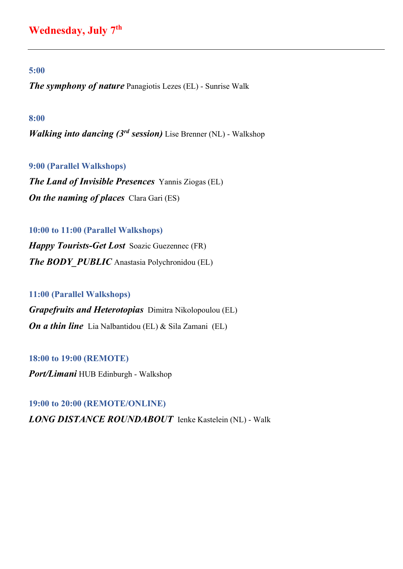# Wednesday, July 7<sup>th</sup>

#### 5:00

The symphony of nature Panagiotis Lezes (EL) - Sunrise Walk

#### 8:00

**Walking into dancing (3rd session)** Lise Brenner (NL) - Walkshop

#### 9:00 (Parallel Walkshops)

The Land of Invisible Presences Yannis Ziogas (EL) **On the naming of places** Clara Gari (ES)

### 10:00 to 11:00 (Parallel Walkshops)

Happy Tourists-Get Lost Soazic Guezennec (FR) **The BODY PUBLIC** Anastasia Polychronidou (EL)

11:00 (Parallel Walkshops) Grapefruits and Heterotopias Dimitra Nikolopoulou (EL) On a thin line Lia Nalbantidou (EL) & Sila Zamani (EL)

18:00 to 19:00 (REMOTE) Port/Limani HUB Edinburgh - Walkshop

19:00 to 20:00 (REMOTE/ONLINE) LONG DISTANCE ROUNDABOUT Ienke Kastelein (NL) - Walk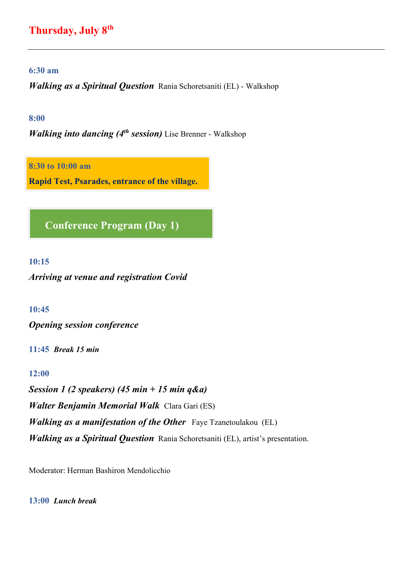# Thursday, July 8th

#### 6:30 am

Walking as a Spiritual Question Rania Schoretsaniti (EL) - Walkshop

#### 8:00

**Walking into dancing (4th session)** Lise Brenner - Walkshop

8:30 to 10:00 am

Rapid Test, Psarades, entrance of the village.

Conference Program (Day 1)

#### 10:15

Arriving at venue and registration Covid

10:45

Opening session conference

11:45 Break 15 min

#### 12:00

Session 1 (2 speakers) (45 min + 15 min  $q\&q$ ) Walter Benjamin Memorial Walk Clara Gari (ES) **Walking as a manifestation of the Other** Faye Tzanetoulakou (EL) Walking as a Spiritual Question Rania Schoretsaniti (EL), artist's presentation.

Moderator: Herman Bashiron Mendolicchio

13:00 Lunch break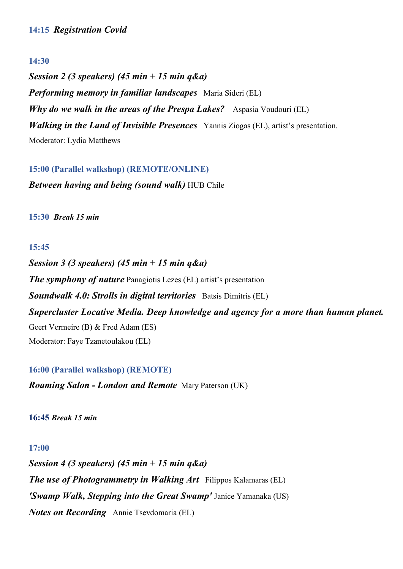### 14:30

Session 2 (3 speakers) (45 min + 15 min q&a) **Performing memory in familiar landscapes** Maria Sideri (EL) Why do we walk in the areas of the Prespa Lakes? Aspasia Voudouri (EL) Walking in the Land of Invisible Presences Yannis Ziogas (EL), artist's presentation. Moderator: Lydia Matthews

15:00 (Parallel walkshop) (REMOTE/ONLINE)

Between having and being (sound walk) HUB Chile

15:30 Break 15 min

# 15:45

Session 3 (3 speakers) (45 min + 15 min  $q\&q$ The symphony of nature Panagiotis Lezes (EL) artist's presentation Soundwalk 4.0: Strolls in digital territories Batsis Dimitris (EL) Supercluster Locative Media. Deep knowledge and agency for a more than human planet. Geert Vermeire (B) & Fred Adam (ES) Moderator: Faye Tzanetoulakou (EL)

16:00 (Parallel walkshop) (REMOTE) Roaming Salon - London and Remote Mary Paterson (UK)

16:45 Break 15 min

### 17:00

Session 4 (3 speakers) (45 min + 15 min  $q\&a$ ) The use of Photogrammetry in Walking Art Filippos Kalamaras (EL) 'Swamp Walk, Stepping into the Great Swamp' Janice Yamanaka (US) Notes on Recording Annie Tsevdomaria (EL)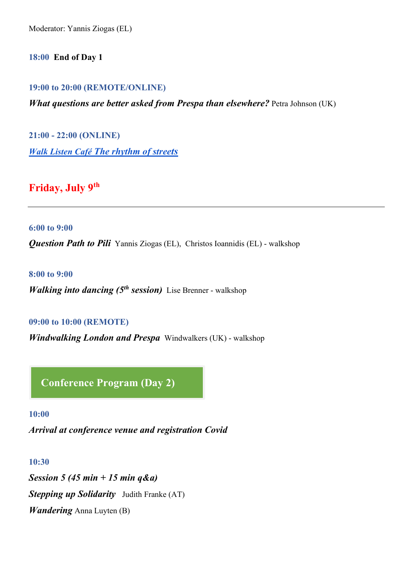Moderator: Yannis Ziogas (EL)

18:00 End of Day 1

19:00 to 20:00 (REMOTE/ONLINE)

What questions are better asked from Prespa than elsewhere? Petra Johnson (UK)

21:00 - 22:00 (ONLINE) Walk Listen Café The rhythm of streets

Friday, July 9th

6:00 to 9:00

**Question Path to Pili** Yannis Ziogas (EL), Christos Ioannidis (EL) - walkshop

8:00 to 9:00

**Walking into dancing (5<sup>th</sup> session)** Lise Brenner - walkshop

#### 09:00 to 10:00 (REMOTE)

Windwalking London and Prespa Windwalkers (UK) - walkshop

Conference Program (Day 2)

10:00

Arrival at conference venue and registration Covid

10:30

Session 5 (45 min + 15 min  $q\&a)$ **Stepping up Solidarity** Judith Franke (AT) Wandering Anna Luyten (B)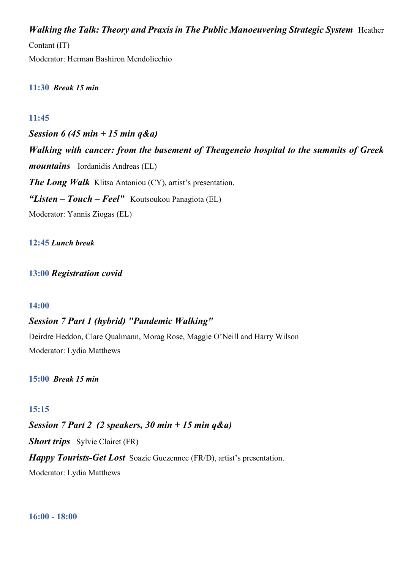Walking the Talk: Theory and Praxis in The Public Manoeuvering Strategic System Heather

Contant (IT)

Moderator: Herman Bashiron Mendolicchio

11:30 Break 15 min

# 11:45

Session 6 (45 min + 15 min  $q\&a)$ Walking with cancer: from the basement of Theageneio hospital to the summits of Greek mountains Iordanidis Andreas (EL) The Long Walk Klitsa Antoniou (CY), artist's presentation. "Listen – Touch – Feel" Koutsoukou Panagiota (EL) Moderator: Yannis Ziogas (EL)

### 12:45 Lunch break

13:00 Registration covid

### 14:00

# Session 7 Part 1 (hybrid) "Pandemic Walking"

Deirdre Heddon, Clare Qualmann, Morag Rose, Maggie O'Neill and Harry Wilson Moderator: Lydia Matthews

15:00 Break 15 min

# 15:15

Session 7 Part 2 (2 speakers, 30 min + 15 min  $q\&q$ 

Short trips Sylvie Clairet (FR)

Happy Tourists-Get Lost Soazic Guezennec (FR/D), artist's presentation.

Moderator: Lydia Matthews

16:00 - 18:00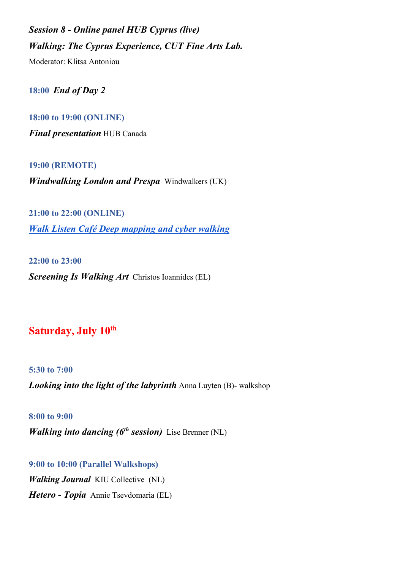Session 8 - Online panel HUB Cyprus (live) Walking: The Cyprus Experience, CUT Fine Arts Lab.

Moderator: Klitsa Antoniou

18:00 End of Day 2

18:00 to 19:00 (ONLINE) Final presentation HUB Canada

19:00 (REMOTE)

Windwalking London and Prespa Windwalkers (UK)

21:00 to 22:00 (ONLINE) Walk Listen Café Deep mapping and cyber walking

22:00 to 23:00 Screening Is Walking Art Christos Ioannides (EL)

# Saturday, July 10<sup>th</sup>

5:30 to 7:00 Looking into the light of the labyrinth Anna Luyten (B)- walkshop

8:00 to 9:00 **Walking into dancing (6<sup>th</sup> session)** Lise Brenner (NL)

9:00 to 10:00 (Parallel Walkshops) Walking Journal KIU Collective (NL) Hetero - Topia Annie Tsevdomaria (EL)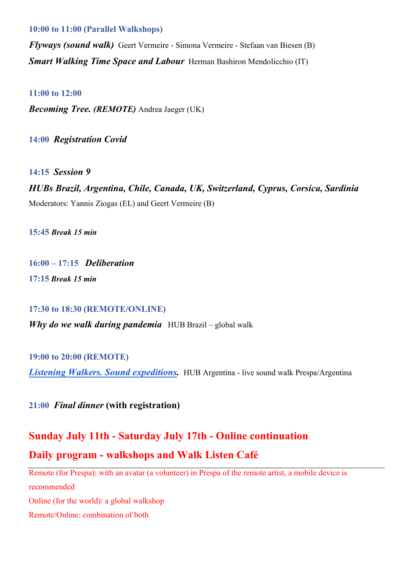#### 10:00 to 11:00 (Parallel Walkshops)

Flyways (sound walk) Geert Vermeire - Simona Vermeire - Stefaan van Biesen (B) **Smart Walking Time Space and Labour** Herman Bashiron Mendolicchio (IT)

#### 11:00 to 12:00

Becoming Tree. (REMOTE) Andrea Jaeger (UK)

14:00 Registration Covid

14:15 Session 9

HUBs Brazil, Argentina, Chile, Canada, UK, Switzerland, Cyprus, Corsica, Sardinia Moderators: Yannis Ziogas (EL) and Geert Vermeire (B)

15:45 Break 15 min

16:00 – 17:15 Deliberation 17:15 Break 15 min

17:30 to 18:30 (REMOTE/ONLINE)

**Why do we walk during pandemia** HUB Brazil – global walk

19:00 to 20:00 (REMOTE)

Listening Walkers. Sound expeditions. HUB Argentina - live sound walk Prespa/Argentina

21:00 Final dinner (with registration)

# Sunday July 11th - Saturday July 17th - Online continuation Daily program - walkshops and Walk Listen Café

Remote (for Prespa): with an avatar (a volunteer) in Prespa of the remote artist, a mobile device is recommended Online (for the world): a global walkshop Remote/Online: combination of both